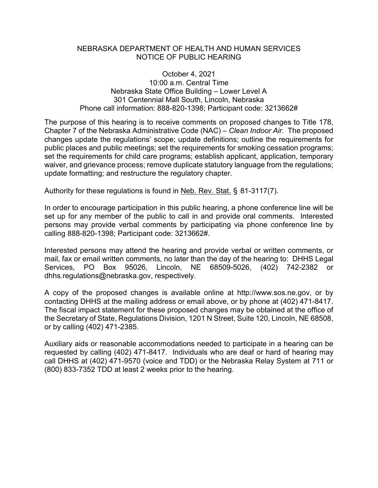## NEBRASKA DEPARTMENT OF HEALTH AND HUMAN SERVICES NOTICE OF PUBLIC HEARING

October 4, 2021 10:00 a.m. Central Time Nebraska State Office Building – Lower Level A 301 Centennial Mall South, Lincoln, Nebraska Phone call information: 888-820-1398; Participant code: 3213662#

The purpose of this hearing is to receive comments on proposed changes to Title 178, Chapter 7 of the Nebraska Administrative Code (NAC) – *Clean Indoor Air.* The proposed changes update the regulations' scope; update definitions; outline the requirements for public places and public meetings; set the requirements for smoking cessation programs; set the requirements for child care programs; establish applicant, application, temporary waiver, and grievance process; remove duplicate statutory language from the regulations; update formatting; and restructure the regulatory chapter.

Authority for these regulations is found in Neb. Rev. Stat. § 81-3117(7).

In order to encourage participation in this public hearing, a phone conference line will be set up for any member of the public to call in and provide oral comments. Interested persons may provide verbal comments by participating via phone conference line by calling 888-820-1398; Participant code: 3213662#.

Interested persons may attend the hearing and provide verbal or written comments, or mail, fax or email written comments, no later than the day of the hearing to: DHHS Legal Services, PO Box 95026, Lincoln, NE 68509-5026, (402) 742-2382 or dhhs.regulations@nebraska.gov, respectively.

A copy of the proposed changes is available online at http://www.sos.ne.gov, or by contacting DHHS at the mailing address or email above, or by phone at (402) 471-8417. The fiscal impact statement for these proposed changes may be obtained at the office of the Secretary of State, Regulations Division, 1201 N Street, Suite 120, Lincoln, NE 68508, or by calling (402) 471-2385.

Auxiliary aids or reasonable accommodations needed to participate in a hearing can be requested by calling (402) 471-8417. Individuals who are deaf or hard of hearing may call DHHS at (402) 471-9570 (voice and TDD) or the Nebraska Relay System at 711 or (800) 833-7352 TDD at least 2 weeks prior to the hearing.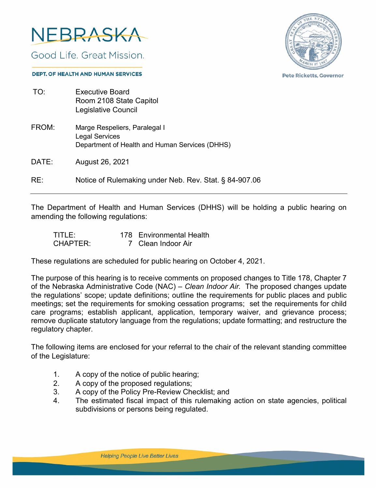

Good Life, Great Mission.



**Pete Ricketts, Governor** 

#### **DEPT. OF HEALTH AND HUMAN SERVICES**

| TO:   | <b>Executive Board</b><br>Room 2108 State Capitol<br>Legislative Council                                 |
|-------|----------------------------------------------------------------------------------------------------------|
| FROM: | Marge Respeliers, Paralegal I<br><b>Legal Services</b><br>Department of Health and Human Services (DHHS) |
| DATE: | August 26, 2021                                                                                          |
| RE:   | Notice of Rulemaking under Neb. Rev. Stat. § 84-907.06                                                   |

The Department of Health and Human Services (DHHS) will be holding a public hearing on amending the following regulations:

| TITLE:          | 178 Environmental Health |
|-----------------|--------------------------|
| <b>CHAPTER:</b> | 7 Clean Indoor Air       |

These regulations are scheduled for public hearing on October 4, 2021.

The purpose of this hearing is to receive comments on proposed changes to Title 178, Chapter 7 of the Nebraska Administrative Code (NAC) – *Clean Indoor Air.* The proposed changes update the regulations' scope; update definitions; outline the requirements for public places and public meetings; set the requirements for smoking cessation programs; set the requirements for child care programs; establish applicant, application, temporary waiver, and grievance process; remove duplicate statutory language from the regulations; update formatting; and restructure the regulatory chapter.

The following items are enclosed for your referral to the chair of the relevant standing committee of the Legislature:

- 1. A copy of the notice of public hearing;
- 2. A copy of the proposed regulations;
- 3. A copy of the Policy Pre-Review Checklist; and
- 4. The estimated fiscal impact of this rulemaking action on state agencies, political subdivisions or persons being regulated.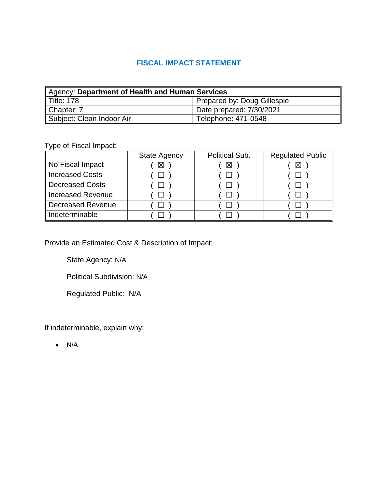# **FISCAL IMPACT STATEMENT**

| Agency: Department of Health and Human Services |                                    |  |  |  |
|-------------------------------------------------|------------------------------------|--|--|--|
| $\parallel$ Title: 178                          | <b>Prepared by: Doug Gillespie</b> |  |  |  |
| Chapter: 7                                      | Date prepared: 7/30/2021           |  |  |  |
| Subject: Clean Indoor Air                       | Telephone: 471-0548                |  |  |  |

Type of Fiscal Impact:

|                   | <b>State Agency</b> | Political Sub. | <b>Regulated Public</b> |
|-------------------|---------------------|----------------|-------------------------|
| No Fiscal Impact  | ⊠                   | ᢂ              |                         |
| Increased Costs   |                     |                |                         |
| Decreased Costs   |                     |                |                         |
| Increased Revenue |                     |                |                         |
| Decreased Revenue |                     |                |                         |
| Indeterminable    |                     |                |                         |

Provide an Estimated Cost & Description of Impact:

State Agency: N/A

Political Subdivision: N/A

Regulated Public: N/A

If indeterminable, explain why:

• N/A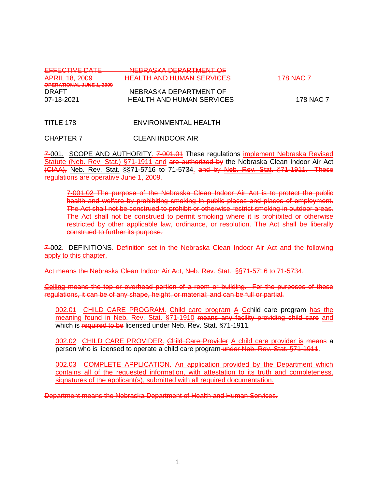| EFFECTIVE DATE           | NEBRASKA DEPARTMENT OF                                           |           |
|--------------------------|------------------------------------------------------------------|-----------|
| <b>APRIL 18, 2009</b>    | HEALTH AND HUMAN CEDVICES<br><del>HEALHTAND HOMAN JERVICEJ</del> | 178 NAC 7 |
| OPERATIONAL JUNE 1, 2009 |                                                                  |           |
| DRAFT                    | NEBRASKA DEPARTMENT OF                                           |           |
| 07-13-2021               | <b>HEALTH AND HUMAN SERVICES</b>                                 | 178 NAC 7 |
|                          |                                                                  |           |

TITLE 178 ENVIRONMENTAL HEALTH

CHAPTER 7 CLEAN INDOOR AIR

7-001. SCOPE AND AUTHORITY. 7-001.01 These regulations implement Nebraska Revised Statute (Neb. Rev. Stat.) §71-1911 and are authorized by the Nebraska Clean Indoor Air Act (CIAA), Neb. Rev. Stat. §§71-5716 to 71-5734. and by Neb. Rev. Stat. §71-1911. These regulations are operative June 1, 2009.

7-001.02 The purpose of the Nebraska Clean Indoor Air Act is to protect the public health and welfare by prohibiting smoking in public places and places of employment. The Act shall not be construed to prohibit or otherwise restrict smoking in outdoor areas. The Act shall not be construed to permit smoking where it is prohibited or otherwise restricted by other applicable law, ordinance, or resolution. The Act shall be liberally construed to further its purpose.

7-002. DEFINITIONS. Definition set in the Nebraska Clean Indoor Air Act and the following apply to this chapter.

Act means the Nebraska Clean Indoor Air Act, Neb. Rev. Stat. §§71-5716 to 71-5734.

Ceiling means the top or overhead portion of a room or building. For the purposes of these regulations, it can be of any shape, height, or material; and can be full or partial.

002.01 CHILD CARE PROGRAM. Child care program A Cchild care program has the meaning found in Neb. Rev. Stat. §71-1910 means any facility providing child care and which is required to be licensed under Neb. Rev. Stat. §71-1911.

002.02 CHILD CARE PROVIDER. Child Care Provider A child care provider is means a person who is licensed to operate a child care program under Neb. Rev. Stat. §71-1911.

002.03 COMPLETE APPLICATION. An application provided by the Department which contains all of the requested information, with attestation to its truth and completeness, signatures of the applicant(s), submitted with all required documentation.

Department means the Nebraska Department of Health and Human Services.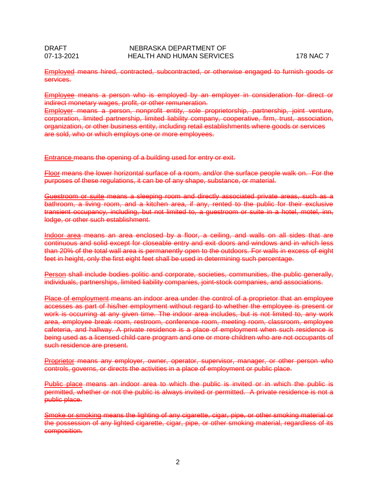Employed means hired, contracted, subcontracted, or otherwise engaged to furnish goods or services.

Employee means a person who is employed by an employer in consideration for direct or indirect monetary wages, profit, or other remuneration.

Employer means a person, nonprofit entity, sole proprietorship, partnership, joint venture, corporation, limited partnership, limited liability company, cooperative, firm, trust, association, organization, or other business entity, including retail establishments where goods or services are sold, who or which employs one or more employees.

Entrance means the opening of a building used for entry or exit.

Floor means the lower horizontal surface of a [room,](http://en.wikipedia.org/wiki/Room_%28architecture%29) and/or the surface people walk on. For the purposes of these regulations, it can be of any shape, substance, or material.

Guestroom or suite means a sleeping room and directly associated private areas, such as a bathroom, a living room, and a kitchen area, if any, rented to the public for their exclusive transient occupancy, including, but not limited to, a guestroom or suite in a hotel, motel, inn, lodge, or other such establishment.

Indoor area means an area enclosed by a floor, a ceiling, and walls on all sides that are continuous and solid except for closeable entry and exit doors and windows and in which less than 20% of the total wall area is permanently open to the outdoors. For walls in excess of eight feet in height, only the first eight feet shall be used in determining such percentage.

Person shall include bodies politic and corporate, societies, communities, the public generally, individuals, partnerships, limited liability companies, joint-stock companies, and associations.

Place of employment means an indoor area under the control of a proprietor that an employee accesses as part of his/her employment without regard to whether the employee is present or work is occurring at any given time. The indoor area includes, but is not limited to, any work area, employee break room, restroom, conference room, meeting room, classroom, employee cafeteria, and hallway. A private residence is a place of employment when such residence is being used as a licensed child care program and one or more children who are not occupants of such residence are present.

Proprietor means any employer, owner, operator, supervisor, manager, or other person who controls, governs, or directs the activities in a place of employment or public place.

Public place means an indoor area to which the public is invited or in which the public is permitted, whether or not the public is always invited or permitted. A private residence is not a public place.

Smoke or smoking means the lighting of any cigarette, cigar, pipe, or other smoking material or the possession of any lighted cigarette, cigar, pipe, or other smoking material, regardless of its composition.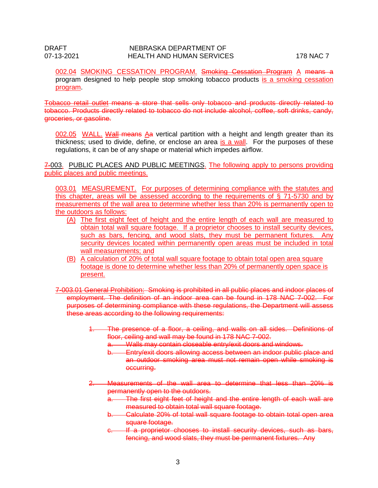## DRAFT NEBRASKA DEPARTMENT OF NEBRASKA DEPARTMENT OF 07-13-2021 HEALTH AND HUMAN SERVICES 178 NAC 7

002.04 SMOKING CESSATION PROGRAM. Smoking Cessation Program A means a program designed to help people stop smoking tobacco products is a smoking cessation program.

Tobacco retail outlet means a store that sells only tobacco and products directly related to tobacco. Products directly related to tobacco do not include alcohol, coffee, soft drinks, candy, groceries, or gasoline.

002.05 WALL. Wall means Aa vertical partition with a height and length greater than its thickness; used to divide, define, or enclose an area is a wall. For the purposes of these regulations, it can be of any shape or material which impedes airflow.

7-003. PUBLIC PLACES AND PUBLIC MEETINGS. The following apply to persons providing public places and public meetings.

003.01 MEASUREMENT. For purposes of determining compliance with the statutes and this chapter, areas will be assessed according to the requirements of § 71-5730 and by measurements of the wall area to determine whether less than 20% is permanently open to the outdoors as follows:

- (A) The first eight feet of height and the entire length of each wall are measured to obtain total wall square footage. If a proprietor chooses to install security devices, such as bars, fencing, and wood slats, they must be permanent fixtures. Any security devices located within permanently open areas must be included in total wall measurements; and
- (B) A calculation of 20% of total wall square footage to obtain total open area square footage is done to determine whether less than 20% of permanently open space is present.
- 7-003.01 General Prohibition: Smoking is prohibited in all public places and indoor places of employment. The definition of an indoor area can be found in 178 NAC 7-002. For purposes of determining compliance with these regulations, the Department will assess these areas according to the following requirements:
	- 1. The presence of a floor, a ceiling, and walls on all sides. Definitions of floor, ceiling and wall may be found in 178 NAC 7-002.
		- a. Walls may contain closeable entry/exit doors and windows.
		- b. Entry/exit doors allowing access between an indoor public place and an outdoor smoking area must not remain open while smoking is occurring.
	- 2. Measurements of the wall area to determine that less than 20% is permanently open to the outdoors.
		- a. The first eight feet of height and the entire length of each wall are measured to obtain total wall square footage.
		- b. Calculate 20% of total wall square footage to obtain total open area square footage.
		- c. If a proprietor chooses to install security devices, such as bars, fencing, and wood slats, they must be permanent fixtures. Any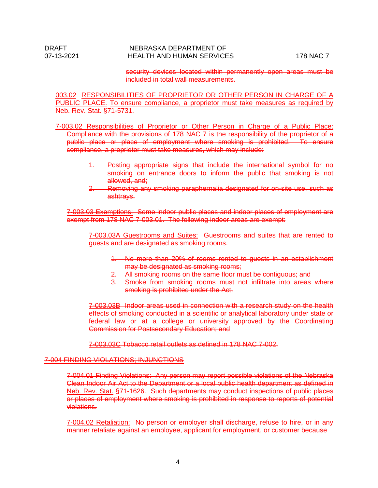security devices located within permanently open areas must be included in total wall measurements.

003.02 RESPONSIBILITIES OF PROPRIETOR OR OTHER PERSON IN CHARGE OF A PUBLIC PLACE. To ensure compliance, a proprietor must take measures as required by Neb. Rev. Stat. §71-5731.

7-003.02 Responsibilities of Proprietor or Other Person in Charge of a Public Place: Compliance with the provisions of 178 NAC 7 is the responsibility of the proprietor of a public place or place of employment where smoking is prohibited. To ensure compliance, a proprietor must take measures, which may include:

- 1. Posting appropriate signs that include the international symbol for no smoking on entrance doors to inform the public that smoking is not allowed, and:
- 2. Removing any smoking paraphernalia designated for on-site use, such as ashtrays.

7-003.03 Exemptions: Some indoor public places and indoor places of employment are exempt from 178 NAC 7-003.01. The following indoor areas are exempt:

7-003.03A Guestrooms and Suites: Guestrooms and suites that are rented to guests and are designated as smoking rooms.

- 1. No more than 20% of rooms rented to guests in an establishment may be designated as smoking rooms;
- 2. All smoking rooms on the same floor must be contiguous; and
- 3. Smoke from smoking rooms must not infiltrate into areas where smoking is prohibited under the Act.

7-003.03B Indoor areas used in connection with a research study on the health effects of smoking conducted in a scientific or analytical laboratory under state or federal law or at a college or university approved by the Coordinating Commission for Postsecondary Education; and

7-003.03C Tobacco retail outlets as defined in 178 NAC 7-002.

#### 7-004 FINDING VIOLATIONS; INJUNCTIONS

7-004.01 Finding Violations: Any person may report possible violations of the Nebraska Clean Indoor Air Act to the Department or a local public health department as defined in Neb. Rev. Stat. §71-1626. Such departments may conduct inspections of public places or places of employment where smoking is prohibited in response to reports of potential violations.

7-004.02 Retaliation: No person or employer shall discharge, refuse to hire, or in any manner retaliate against an employee, applicant for employment, or customer because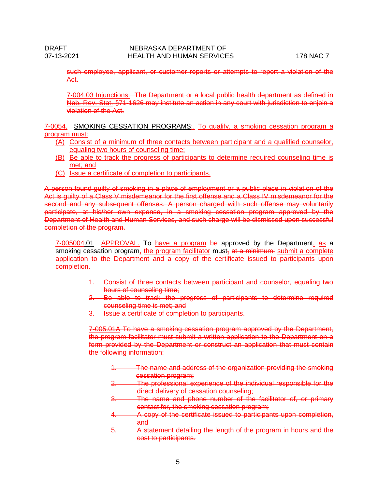such employee, applicant, or customer reports or attempts to report a violation of the Act.

7-004.03 Injunctions: The Department or a local public health department as defined in Neb. Rev. Stat. §71-1626 may institute an action in any court with jurisdiction to enjoin a violation of the Act.

7-0054. SMOKING CESSATION PROGRAMS: To qualify, a smoking cessation program a program must:

- (A) Consist of a minimum of three contacts between participant and a qualified counselor, equaling two hours of counseling time;
- (B) Be able to track the progress of participants to determine required counseling time is met; and
- (C) Issue a certificate of completion to participants.

A person found guilty of smoking in a place of employment or a public place in violation of the Act is guilty of a Class V misdemeanor for the first offense and a Class IV misdemeanor for the second and any subsequent offenses. A person charged with such offense may voluntarily participate, at his/her own expense, in a smoking cessation program approved by the Department of Health and Human Services, and such charge will be dismissed upon successful completion of the program.

 $7-005004.01$  APPROVAL. To have a program be approved by the Department<sub>s</sub> as a smoking cessation program, the program facilitator must, at a minimum: submit a complete application to the Department and a copy of the certificate issued to participants upon completion.

- 1. Consist of three contacts between participant and counselor, equaling two hours of counseling time;
- 2. Be able to track the progress of participants to determine required counseling time is met; and
- 3. Issue a certificate of completion to participants.

7-005.01A To have a smoking cessation program approved by the Department, the program facilitator must submit a written application to the Department on a form provided by the Department or construct an application that must contain the following information:

- The name and address of the organization providing the smoking cessation program;
- 2. The professional experience of the individual responsible for the direct delivery of cessation counseling;
- 3. The name and phone number of the facilitator of, or primary contact for, the smoking cessation program;
- 4. A copy of the certificate issued to participants upon completion, and
- 5. A statement detailing the length of the program in hours and the cost to participants.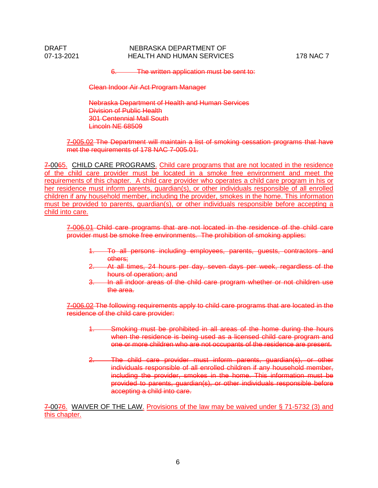## DRAFT NEBRASKA DEPARTMENT OF NEBRASKA DEPARTMENT OF 07-13-2021 HEALTH AND HUMAN SERVICES 178 NAC 7

6. The written application must be sent to:

Clean Indoor Air Act Program Manager

Nebraska Department of Health and Human Services Division of Public Health 301 Centennial Mall South Lincoln NE 68509

7-005.02 The Department will maintain a list of smoking cessation programs that have met the requirements of 178 NAC 7-005.01.

7-0065. CHILD CARE PROGRAMS. Child care programs that are not located in the residence of the child care provider must be located in a smoke free environment and meet the requirements of this chapter. A child care provider who operates a child care program in his or her residence must inform parents, guardian(s), or other individuals responsible of all enrolled children if any household member, including the provider, smokes in the home. This information must be provided to parents, guardian(s), or other individuals responsible before accepting a child into care.

7-006.01 Child care programs that are not located in the residence of the child care provider must be smoke free environments. The prohibition of smoking applies:

- 1. To all persons including employees, parents, guests, contractors and others;
- At all times, 24 hours per day, seven days per week, regardless of the hours of operation; and
- 3. In all indoor areas of the child care program whether or not children use the area.

7-006.02 The following requirements apply to child care programs that are located in the residence of the child care provider:

- Smoking must be prohibited in all areas of the home during the hours when the residence is being used as a licensed child care program and one or more children who are not occupants of the residence are present.
- 2. The child care provider must inform parents, guardian(s), or other individuals responsible of all enrolled children if any household member, including the provider, smokes in the home. This information must be provided to parents, guardian(s), or other individuals responsible before accepting a child into care.

7-0076. WAIVER OF THE LAW. Provisions of the law may be waived under § 71-5732 (3) and this chapter.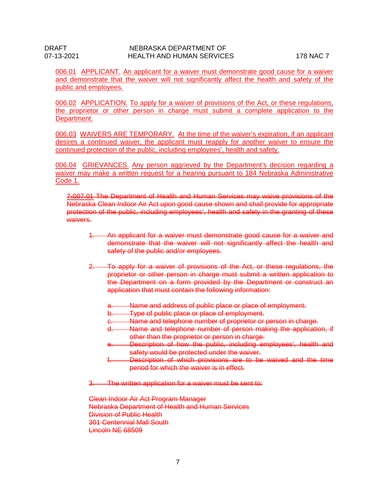006.01 APPLICANT. An applicant for a waiver must demonstrate good cause for a waiver and demonstrate that the waiver will not significantly affect the health and safety of the public and employees.

006.02 APPLICATION. To apply for a waiver of provisions of the Act, or these regulations, the proprietor or other person in charge must submit a complete application to the Department.

006.03 WAIVERS ARE TEMPORARY. At the time of the waiver's expiration, if an applicant desires a continued waiver, the applicant must reapply for another waiver to ensure the continued protection of the public, including employees', health and safety.

006.04 GRIEVANCES. Any person aggrieved by the Department's decision regarding a waiver may make a written request for a hearing pursuant to 184 Nebraska Administrative Code 1.

7-007.01 The Department of Health and Human Services may waive provisions of the Nebraska Clean Indoor Air Act upon good cause shown and shall provide for appropriate protection of the public, including employees', health and safety in the granting of these waivers.

- 1. An applicant for a waiver must demonstrate good cause for a waiver and demonstrate that the waiver will not significantly affect the health and safety of the public and/or employees.
- 2. To apply for a waiver of provisions of the Act, or these regulations, the proprietor or other person in charge must submit a written application to the Department on a form provided by the Department or construct an application that must contain the following information:
	- a. Name and address of public place or place of employment.
	- b. Type of public place or place of employment.
	- c. Name and telephone number of proprietor or person in charge.<br>d. Name and telephone number of person making the application
	- Name and telephone number of person making the application, if other than the proprietor or person in charge.
	- e. Description of how the public, including employees', health and safety would be protected under the waiver.
	- f. Description of which provisions are to be waived and the time period for which the waiver is in effect.
- 3. The written application for a waiver must be sent to:

Clean Indoor Air Act Program Manager Nebraska Department of Health and Human Services Division of Public Health 301 Centennial Mall South Lincoln NE 68509